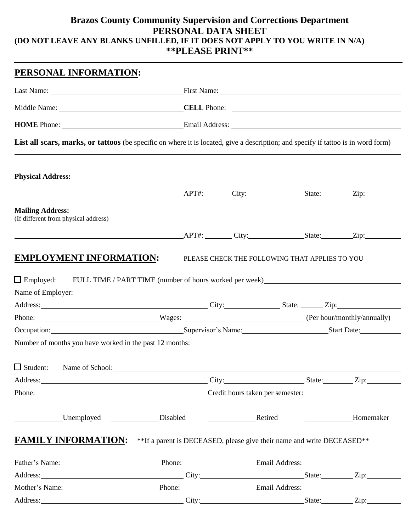### **Brazos County Community Supervision and Corrections Department PERSONAL DATA SHEET (DO NOT LEAVE ANY BLANKS UNFILLED, IF IT DOES NOT APPLY TO YOU WRITE IN N/A) \*\*PLEASE PRINT\*\***

| PERSONAL INFORMATION:                                                                                                                                                                                                                                                                |                                                                                   |                                                                                                                                                                                                                                     |  |           |  |
|--------------------------------------------------------------------------------------------------------------------------------------------------------------------------------------------------------------------------------------------------------------------------------------|-----------------------------------------------------------------------------------|-------------------------------------------------------------------------------------------------------------------------------------------------------------------------------------------------------------------------------------|--|-----------|--|
|                                                                                                                                                                                                                                                                                      |                                                                                   | Last Name: <u>Name:</u> First Name: Name: Name: Name: Name: Name: Name: Name: Name: Name: Name: Name: Name: Name: Name: Name: Name: Name: Name: Name: Name: Name: Name: Name: Name: Name: Name: Name: Name: Name: Name: Name: Name: |  |           |  |
|                                                                                                                                                                                                                                                                                      |                                                                                   |                                                                                                                                                                                                                                     |  |           |  |
|                                                                                                                                                                                                                                                                                      |                                                                                   |                                                                                                                                                                                                                                     |  |           |  |
| List all scars, marks, or tattoos (be specific on where it is located, give a description; and specify if tattoo is in word form)                                                                                                                                                    |                                                                                   |                                                                                                                                                                                                                                     |  |           |  |
| <b>Physical Address:</b>                                                                                                                                                                                                                                                             |                                                                                   |                                                                                                                                                                                                                                     |  |           |  |
| APT#: City: State: Zip: Zip:                                                                                                                                                                                                                                                         |                                                                                   |                                                                                                                                                                                                                                     |  |           |  |
| <b>Mailing Address:</b><br>(If different from physical address)                                                                                                                                                                                                                      |                                                                                   |                                                                                                                                                                                                                                     |  |           |  |
|                                                                                                                                                                                                                                                                                      | APT#: City: State: Zip:                                                           |                                                                                                                                                                                                                                     |  |           |  |
| $\Box$ Employed:<br>Name of Employer: Name of Employer:                                                                                                                                                                                                                              | FULL TIME / PART TIME (number of hours worked per week) _________________________ |                                                                                                                                                                                                                                     |  |           |  |
|                                                                                                                                                                                                                                                                                      |                                                                                   | Address: City: City: State: Zip: Zip:<br>Phone: Wages: Wages: (Per hour/monthly/annually)                                                                                                                                           |  |           |  |
|                                                                                                                                                                                                                                                                                      | Occupation: Supervisor's Name: Supervisor's Name: Start Date:                     |                                                                                                                                                                                                                                     |  |           |  |
| Number of months you have worked in the past 12 months: Number of months when the past 12 months of the state of the state of the state of the state of the state of the state of the state of the state of the state of the s<br>□ Student: Name of School: <u>● Name of School</u> |                                                                                   |                                                                                                                                                                                                                                     |  |           |  |
| Address: City: City: State: Zip: Zip:                                                                                                                                                                                                                                                |                                                                                   |                                                                                                                                                                                                                                     |  |           |  |
|                                                                                                                                                                                                                                                                                      | Phone: Credit hours taken per semester: Credit hours taken per semester:          |                                                                                                                                                                                                                                     |  |           |  |
| Unemployed Disabled Disabled Retired                                                                                                                                                                                                                                                 |                                                                                   |                                                                                                                                                                                                                                     |  | Homemaker |  |
| <b>FAMILY INFORMATION:</b>                                                                                                                                                                                                                                                           | ** If a parent is DECEASED, please give their name and write DECEASED**           |                                                                                                                                                                                                                                     |  |           |  |
| Father's Name: Phone: Phone: Email Address: Email Address:                                                                                                                                                                                                                           |                                                                                   |                                                                                                                                                                                                                                     |  |           |  |
| Address: <u>City:</u> City: State: Zip: Zip:                                                                                                                                                                                                                                         |                                                                                   |                                                                                                                                                                                                                                     |  |           |  |
| Mother's Name: Phone: Phone: Email Address: Email Address:                                                                                                                                                                                                                           |                                                                                   |                                                                                                                                                                                                                                     |  |           |  |
| Address: <u>City: State:</u> Zip: Zip:                                                                                                                                                                                                                                               |                                                                                   |                                                                                                                                                                                                                                     |  |           |  |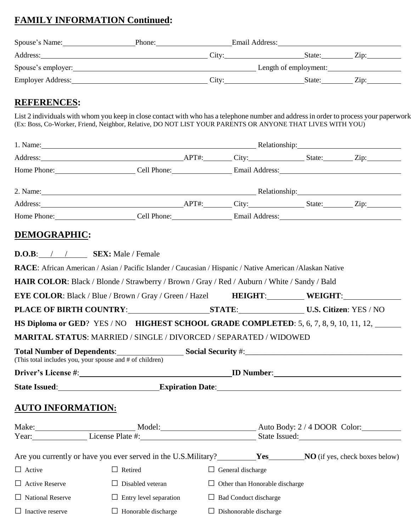## **FAMILY INFORMATION Continued:**

| Spouse's Name:     | Phone:   | Email Address:        |      |
|--------------------|----------|-----------------------|------|
| Address:           | City:    | State:                | Zip: |
| Spouse's employer: |          | Length of employment: |      |
| Employer Address:  | $Citv^.$ | State:                | Zin: |

### **REFERENCES:**

List 2 individuals with whom you keep in close contact with who has a telephone number and address in order to process your paperwork. (Ex: Boss, Co-Worker, Friend, Neighbor, Relative, DO NOT LIST YOUR PARENTS OR ANYONE THAT LIVES WITH YOU)

|                                                          | Home Phone: Cell Phone: Cell Phone: Email Address: Canadian Communication Cell Phone:                                                                                                                                               |                                |               |                                       |
|----------------------------------------------------------|-------------------------------------------------------------------------------------------------------------------------------------------------------------------------------------------------------------------------------------|--------------------------------|---------------|---------------------------------------|
|                                                          | 2. Name: Relationship: Relationship:                                                                                                                                                                                                |                                |               |                                       |
|                                                          | Address: <u>Address:</u> Aproximate Aproximate Aproximate Aproximate City: State: Zip: Zip:                                                                                                                                         |                                |               |                                       |
|                                                          | Home Phone: Cell Phone: Cell Phone: Email Address: Canadian Communication Cell Phone:                                                                                                                                               |                                |               |                                       |
| DEMOGRAPHIC:                                             |                                                                                                                                                                                                                                     |                                |               |                                       |
| $D.O.B:$ / / SEX: Male / Female                          |                                                                                                                                                                                                                                     |                                |               |                                       |
|                                                          | RACE: African American / Asian / Pacific Islander / Caucasian / Hispanic / Native American / Alaskan Native                                                                                                                         |                                |               |                                       |
|                                                          | HAIR COLOR: Black / Blonde / Strawberry / Brown / Gray / Red / Auburn / White / Sandy / Bald                                                                                                                                        |                                |               |                                       |
|                                                          | <b>EYE COLOR:</b> Black / Blue / Brown / Gray / Green / Hazel <b>HEIGHT:</b> WEIGHT:                                                                                                                                                |                                |               |                                       |
|                                                          |                                                                                                                                                                                                                                     |                                |               |                                       |
|                                                          | HS Diploma or GED? YES / NO HIGHEST SCHOOL GRADE COMPLETED: 5, 6, 7, 8, 9, 10, 11, 12,                                                                                                                                              |                                |               |                                       |
|                                                          | <b>MARITAL STATUS: MARRIED / SINGLE / DIVORCED / SEPARATED / WIDOWED</b>                                                                                                                                                            |                                |               |                                       |
| (This total includes you, your spouse and # of children) | Total Number of Dependents: Social Security #: Social Security # 2007                                                                                                                                                               |                                |               |                                       |
|                                                          |                                                                                                                                                                                                                                     |                                |               |                                       |
|                                                          | State Issued: <u>New State Issued:</u> Expiration Date: New York: New York: New York: New York: New York: New York: New York: New York: New York: New York: New York: New York: New York: New York: New York: New York: New York: N |                                |               |                                       |
| <b>AUTO INFORMATION:</b>                                 |                                                                                                                                                                                                                                     |                                |               |                                       |
|                                                          | Make: Model: Model: Auto Body: 2/4 DOOR Color:                                                                                                                                                                                      |                                |               |                                       |
| Year:                                                    | License Plate #:                                                                                                                                                                                                                    |                                | State Issued: |                                       |
|                                                          | Are you currently or have you ever served in the U.S.Military?                                                                                                                                                                      | Yes                            |               | <b>NO</b> (if yes, check boxes below) |
| $\Box$ Active                                            | $\Box$ Retired                                                                                                                                                                                                                      | $\Box$ General discharge       |               |                                       |
| <b>Active Reserve</b>                                    | Disabled veteran                                                                                                                                                                                                                    | Other than Honorable discharge |               |                                       |
| <b>National Reserve</b>                                  | Entry level separation                                                                                                                                                                                                              | <b>Bad Conduct discharge</b>   |               |                                       |
| Inactive reserve                                         | $\Box$ Honorable discharge                                                                                                                                                                                                          | $\Box$ Dishonorable discharge  |               |                                       |